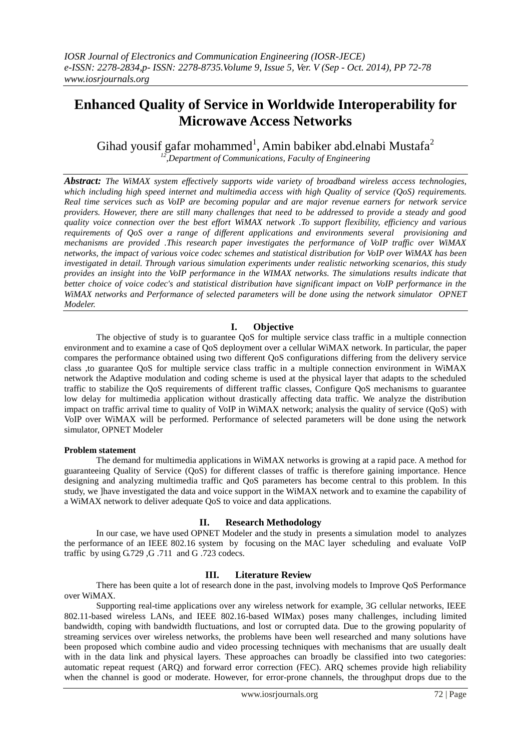# **Enhanced Quality of Service in Worldwide Interoperability for Microwave Access Networks**

Gihad yousif gafar mohammed<sup>1</sup>, Amin babiker abd.elnabi Mustafa<sup>2</sup> *12 ,Department of Communications, Faculty of Engineering*

*Abstract: The WiMAX system effectively supports wide variety of broadband wireless access technologies, which including high speed internet and multimedia access with high Quality of service (QoS) requirements. Real time services such as VoIP are becoming popular and are major revenue earners for network service providers. However, there are still many challenges that need to be addressed to provide a steady and good quality voice connection over the best effort WiMAX network .To support flexibility, efficiency and various requirements of QoS over a range of different applications and environments several provisioning and mechanisms are provided .This research paper investigates the performance of VoIP traffic over WiMAX networks, the impact of various voice codec schemes and statistical distribution for VoIP over WiMAX has been investigated in detail. Through various simulation experiments under realistic networking scenarios, this study provides an insight into the VoIP performance in the WIMAX networks. The simulations results indicate that better choice of voice codec's and statistical distribution have significant impact on VoIP performance in the WiMAX networks and Performance of selected parameters will be done using the network simulator OPNET Modeler.*

## **I. Objective**

The objective of study is to guarantee QoS for multiple service class traffic in a multiple connection environment and to examine a case of QoS deployment over a cellular WiMAX network. In particular, the paper compares the performance obtained using two different QoS configurations differing from the delivery service class ,to guarantee QoS for multiple service class traffic in a multiple connection environment in WiMAX network the Adaptive modulation and coding scheme is used at the physical layer that adapts to the scheduled traffic to stabilize the QoS requirements of different traffic classes, Configure QoS mechanisms to guarantee low delay for multimedia application without drastically affecting data traffic. We analyze the distribution impact on traffic arrival time to quality of VoIP in WiMAX network; analysis the quality of service (QoS) with VoIP over WiMAX will be performed. Performance of selected parameters will be done using the network simulator, OPNET Modeler

#### **Problem statement**

The demand for multimedia applications in WiMAX networks is growing at a rapid pace. A method for guaranteeing Quality of Service (QoS) for different classes of traffic is therefore gaining importance. Hence designing and analyzing multimedia traffic and QoS parameters has become central to this problem. In this study, we ]have investigated the data and voice support in the WiMAX network and to examine the capability of a WiMAX network to deliver adequate QoS to voice and data applications.

### **II. Research Methodology**

In our case, we have used OPNET Modeler and the study in presents a simulation model to analyzes the performance of an IEEE 802.16 system by focusing on the MAC layer scheduling and evaluate VoIP traffic by using G.729 ,G .711 and G .723 codecs.

### **III. Literature Review**

There has been quite a lot of research done in the past, involving models to Improve QoS Performance over WiMAX.

Supporting real-time applications over any wireless network for example, 3G cellular networks, IEEE 802.11-based wireless LANs, and IEEE 802.16-based WIMax) poses many challenges, including limited bandwidth, coping with bandwidth fluctuations, and lost or corrupted data. Due to the growing popularity of streaming services over wireless networks, the problems have been well researched and many solutions have been proposed which combine audio and video processing techniques with mechanisms that are usually dealt with in the data link and physical layers. These approaches can broadly be classified into two categories: automatic repeat request (ARQ) and forward error correction (FEC). ARQ schemes provide high reliability when the channel is good or moderate. However, for error-prone channels, the throughput drops due to the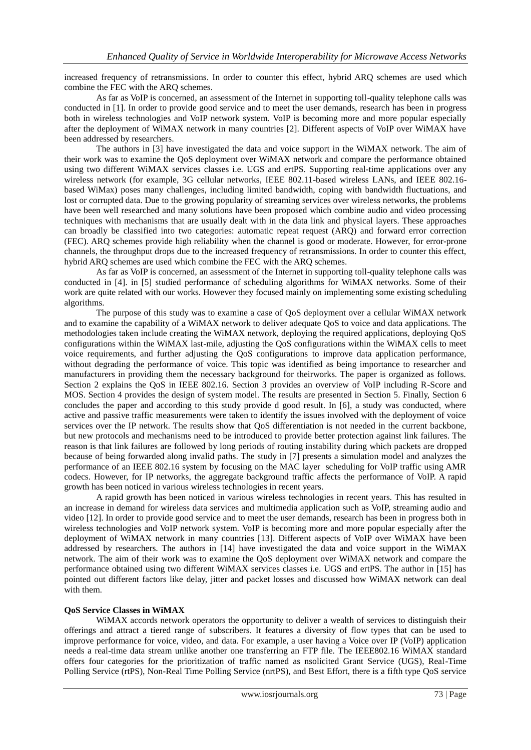increased frequency of retransmissions. In order to counter this effect, hybrid ARQ schemes are used which combine the FEC with the ARQ schemes.

As far as VoIP is concerned, an assessment of the Internet in supporting toll-quality telephone calls was conducted in [1]. In order to provide good service and to meet the user demands, research has been in progress both in wireless technologies and VoIP network system. VoIP is becoming more and more popular especially after the deployment of WiMAX network in many countries [2]. Different aspects of VoIP over WiMAX have been addressed by researchers.

The authors in [3] have investigated the data and voice support in the WiMAX network. The aim of their work was to examine the QoS deployment over WiMAX network and compare the performance obtained using two different WiMAX services classes i.e. UGS and ertPS. Supporting real-time applications over any wireless network (for example, 3G cellular networks, IEEE 802.11-based wireless LANs, and IEEE 802.16 based WiMax) poses many challenges, including limited bandwidth, coping with bandwidth fluctuations, and lost or corrupted data. Due to the growing popularity of streaming services over wireless networks, the problems have been well researched and many solutions have been proposed which combine audio and video processing techniques with mechanisms that are usually dealt with in the data link and physical layers. These approaches can broadly be classified into two categories: automatic repeat request (ARQ) and forward error correction (FEC). ARQ schemes provide high reliability when the channel is good or moderate. However, for error-prone channels, the throughput drops due to the increased frequency of retransmissions. In order to counter this effect, hybrid ARQ schemes are used which combine the FEC with the ARQ schemes.

As far as VoIP is concerned, an assessment of the Internet in supporting toll-quality telephone calls was conducted in [4]. in [5] studied performance of scheduling algorithms for WiMAX networks. Some of their work are quite related with our works. However they focused mainly on implementing some existing scheduling algorithms.

The purpose of this study was to examine a case of QoS deployment over a cellular WiMAX network and to examine the capability of a WiMAX network to deliver adequate QoS to voice and data applications. The methodologies taken include creating the WiMAX network, deploying the required applications, deploying QoS configurations within the WiMAX last-mile, adjusting the QoS configurations within the WiMAX cells to meet voice requirements, and further adjusting the QoS configurations to improve data application performance, without degrading the performance of voice. This topic was identified as being importance to researcher and manufacturers in providing them the necessary background for theirworks. The paper is organized as follows. Section 2 explains the QoS in IEEE 802.16. Section 3 provides an overview of VoIP including R-Score and MOS. Section 4 provides the design of system model. The results are presented in Section 5. Finally, Section 6 concludes the paper and according to this study provide d good result. In [6], a study was conducted, where active and passive traffic measurements were taken to identify the issues involved with the deployment of voice services over the IP network. The results show that QoS differentiation is not needed in the current backbone, but new protocols and mechanisms need to be introduced to provide better protection against link failures. The reason is that link failures are followed by long periods of routing instability during which packets are dropped because of being forwarded along invalid paths. The study in [7] presents a simulation model and analyzes the performance of an IEEE 802.16 system by focusing on the MAC layer scheduling for VoIP traffic using AMR codecs. However, for IP networks, the aggregate background traffic affects the performance of VoIP. A rapid growth has been noticed in various wireless technologies in recent years.

A rapid growth has been noticed in various wireless technologies in recent years. This has resulted in an increase in demand for wireless data services and multimedia application such as VoIP, streaming audio and video [12]. In order to provide good service and to meet the user demands, research has been in progress both in wireless technologies and VoIP network system. VoIP is becoming more and more popular especially after the deployment of WiMAX network in many countries [13]. Different aspects of VoIP over WiMAX have been addressed by researchers. The authors in [14] have investigated the data and voice support in the WiMAX network. The aim of their work was to examine the QoS deployment over WiMAX network and compare the performance obtained using two different WiMAX services classes i.e. UGS and ertPS. The author in [15] has pointed out different factors like delay, jitter and packet losses and discussed how WiMAX network can deal with them.

### **QoS Service Classes in WiMAX**

WiMAX accords network operators the opportunity to deliver a wealth of services to distinguish their offerings and attract a tiered range of subscribers. It features a diversity of flow types that can be used to improve performance for voice, video, and data. For example, a user having a Voice over IP (VoIP) application needs a real-time data stream unlike another one transferring an FTP file. The IEEE802.16 WiMAX standard offers four categories for the prioritization of traffic named as nsolicited Grant Service (UGS), Real-Time Polling Service (rtPS), Non-Real Time Polling Service (nrtPS), and Best Effort, there is a fifth type QoS service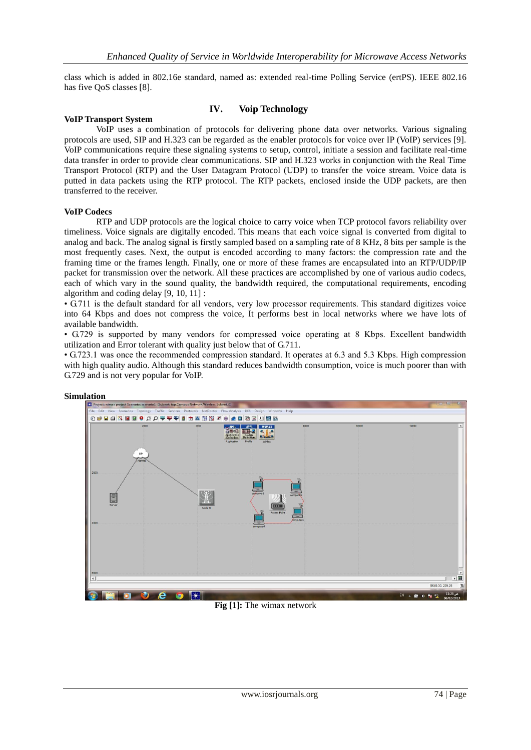class which is added in 802.16e standard, named as: extended real-time Polling Service (ertPS). IEEE 802.16 has five QoS classes [8].

### **VoIP Transport System**

# **IV. Voip Technology**

VoIP uses a combination of protocols for delivering phone data over networks. Various signaling protocols are used, SIP and H.323 can be regarded as the enabler protocols for voice over IP (VoIP) services [9]. VoIP communications require these signaling systems to setup, control, initiate a session and facilitate real-time data transfer in order to provide clear communications. SIP and H.323 works in conjunction with the Real Time Transport Protocol (RTP) and the User Datagram Protocol (UDP) to transfer the voice stream. Voice data is putted in data packets using the RTP protocol. The RTP packets, enclosed inside the UDP packets, are then transferred to the receiver.

#### **VoIP Codecs**

RTP and UDP protocols are the logical choice to carry voice when TCP protocol favors reliability over timeliness. Voice signals are digitally encoded. This means that each voice signal is converted from digital to analog and back. The analog signal is firstly sampled based on a sampling rate of 8 KHz, 8 bits per sample is the most frequently cases. Next, the output is encoded according to many factors: the compression rate and the framing time or the frames length. Finally, one or more of these frames are encapsulated into an RTP/UDP/IP packet for transmission over the network. All these practices are accomplished by one of various audio codecs, each of which vary in the sound quality, the bandwidth required, the computational requirements, encoding algorithm and coding delay [9, 10, 11] :

• G.711 is the default standard for all vendors, very low processor requirements. This standard digitizes voice into 64 Kbps and does not compress the voice, It performs best in local networks where we have lots of available bandwidth.

• G.729 is supported by many vendors for compressed voice operating at 8 Kbps. Excellent bandwidth utilization and Error tolerant with quality just below that of G.711.

• G.723.1 was once the recommended compression standard. It operates at 6.3 and 5.3 Kbps. High compression with high quality audio. Although this standard reduces bandwidth consumption, voice is much poorer than with G.729 and is not very popular for VoIP.



#### **Simulation**

**Fig [1]:** The wimax network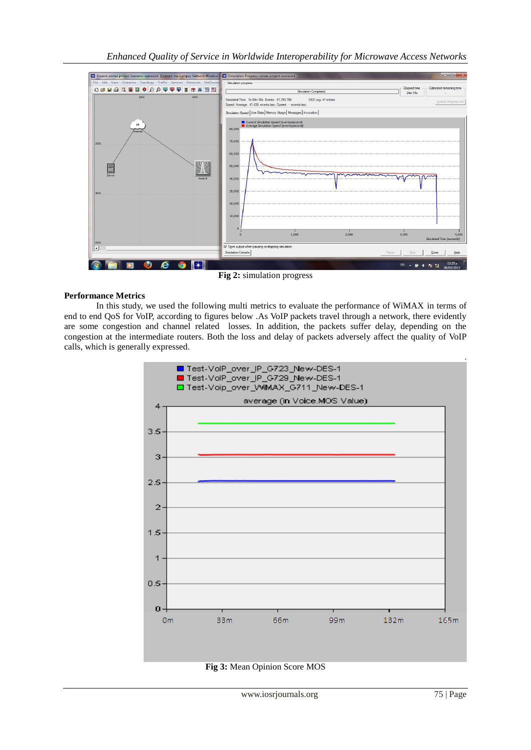

### **Performance Metrics**

In this study, we used the following multi metrics to evaluate the performance of WiMAX in terms of end to end QoS for VoIP, according to figures below .As VoIP packets travel through a network, there evidently are some congestion and channel related losses. In addition, the packets suffer delay, depending on the congestion at the intermediate routers. Both the loss and delay of packets adversely affect the quality of VoIP calls, which is generally expressed.



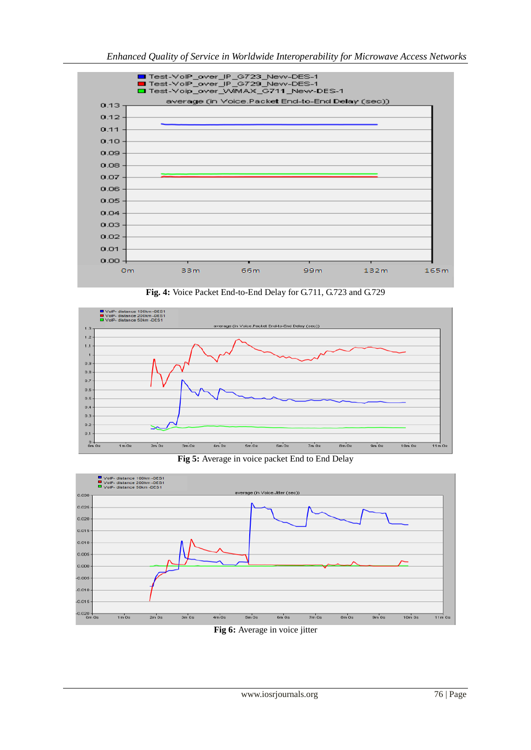

**Fig. 4:** Voice Packet End-to-End Delay for G.711, G.723 and G.729



**Fig 5:** Average in voice packet End to End Delay



**Fig 6:** Average in voice jitter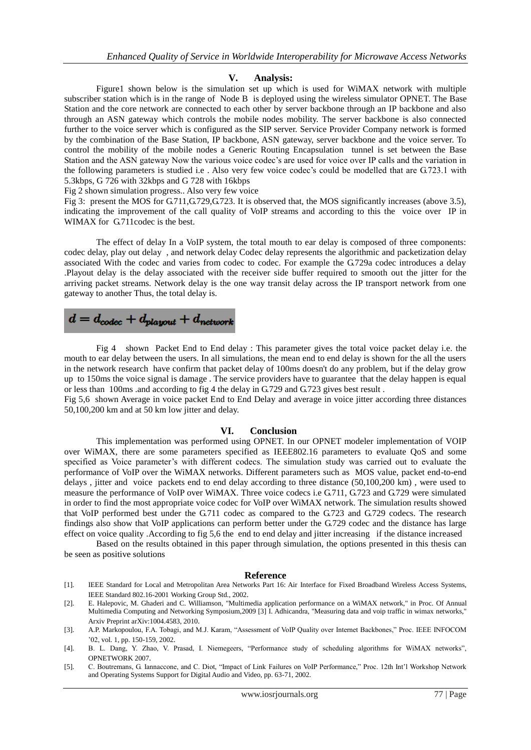### **V. Analysis:**

Figure1 shown below is the simulation set up which is used for WiMAX network with multiple subscriber station which is in the range of Node B is deployed using the wireless simulator OPNET. The Base Station and the core network are connected to each other by server backbone through an IP backbone and also through an ASN gateway which controls the mobile nodes mobility. The server backbone is also connected further to the voice server which is configured as the SIP server. Service Provider Company network is formed by the combination of the Base Station, IP backbone, ASN gateway, server backbone and the voice server. To control the mobility of the mobile nodes a Generic Routing Encapsulation tunnel is set between the Base Station and the ASN gateway Now the various voice codec's are used for voice over IP calls and the variation in the following parameters is studied i.e . Also very few voice codec's could be modelled that are G.723.1 with 5.3kbps, G 726 with 32kbps and G 728 with 16kbps

Fig 2 shown simulation progress.. Also very few voice

Fig 3: present the MOS for G.711, G.729, G.723. It is observed that, the MOS significantly increases (above 3.5), indicating the improvement of the call quality of VoIP streams and according to this the voice over IP in WIMAX for G.711codec is the best.

The effect of delay In a VoIP system, the total mouth to ear delay is composed of three components: codec delay, play out delay , and network delay Codec delay represents the algorithmic and packetization delay associated With the codec and varies from codec to codec. For example the G.729a codec introduces a delay .Playout delay is the delay associated with the receiver side buffer required to smooth out the jitter for the arriving packet streams. Network delay is the one way transit delay across the IP transport network from one gateway to another Thus, the total delay is.

 $d = d_{codec} + d_{playout} + d_{network}$ 

Fig 4 shown Packet End to End delay : This parameter gives the total voice packet delay i.e. the mouth to ear delay between the users. In all simulations, the mean end to end delay is shown for the all the users in the network research have confirm that packet delay of 100ms doesn't do any problem, but if the delay grow up to 150ms the voice signal is damage . The service providers have to guarantee that the delay happen is equal or less than 100ms .and according to fig 4 the delay in G.729 and G.723 gives best result .

Fig 5,6 shown Average in voice packet End to End Delay and average in voice jitter according three distances 50,100,200 km and at 50 km low jitter and delay.

### **VI. Conclusion**

This implementation was performed using OPNET. In our OPNET modeler implementation of VOIP over WiMAX, there are some parameters specified as IEEE802.16 parameters to evaluate QoS and some specified as Voice parameter's with different codecs. The simulation study was carried out to evaluate the performance of VoIP over the WiMAX networks. Different parameters such as MOS value, packet end-to-end delays , jitter and voice packets end to end delay according to three distance (50,100,200 km) , were used to measure the performance of VoIP over WiMAX. Three voice codecs i.e G.711, G.723 and G.729 were simulated in order to find the most appropriate voice codec for VoIP over WiMAX network. The simulation results showed that VoIP performed best under the G.711 codec as compared to the G.723 and G.729 codecs. The research findings also show that VoIP applications can perform better under the G.729 codec and the distance has large effect on voice quality .According to fig 5,6 the end to end delay and jitter increasing if the distance increased

Based on the results obtained in this paper through simulation, the options presented in this thesis can be seen as positive solutions

#### **Reference**

- [1]. IEEE Standard for Local and Metropolitan Area Networks Part 16: Air Interface for Fixed Broadband Wireless Access Systems, IEEE Standard 802.16-2001 Working Group Std., 2002.
- [2]. E. Halepovic, M. Ghaderi and C. Williamson, "Multimedia application performance on a WiMAX network," in Proc. Of Annual Multimedia Computing and Networking Symposium,2009 [3] I. Adhicandra, "Measuring data and voip traffic in wimax networks," Arxiv Preprint arXiv:1004.4583, 2010.
- [3]. A.P. Markopoulou, F.A. Tobagi, and M.J. Karam, "Assessment of VoIP Quality over Internet Backbones," Proc. IEEE INFOCOM '02, vol. 1, pp. 150-159, 2002.
- [4]. B. L. Dang, Y. Zhao, V. Prasad, I. Niemegeers, "Performance study of scheduling algorithms for WiMAX networks", OPNETWORK 2007.
- [5]. C. Boutremans, G. Iannaccone, and C. Diot, "Impact of Link Failures on VoIP Performance," Proc. 12th Int'l Workshop Network and Operating Systems Support for Digital Audio and Video, pp. 63-71, 2002.